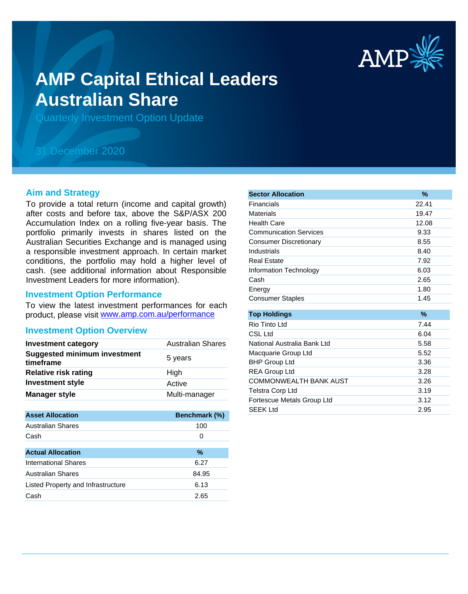

# **AMP Capital Ethical Leaders Australian Share**

Quarterly Investment Option Update

## 31 December 2020

#### **Aim and Strategy**

To provide a total return (income and capital growth) after costs and before tax, above the S&P/ASX 200 Accumulation Index on a rolling five-year basis. The portfolio primarily invests in shares listed on the Australian Securities Exchange and is managed using a responsible investment approach. In certain market conditions, the portfolio may hold a higher level of cash. (see additional information about Responsible Investment Leaders for more information).

#### **Investment Option Performance**

product, please visit www.amp.com.au/performance To view the latest investment performances for each

#### **Investment Option Overview**

| <b>Investment category</b>                       | <b>Australian Shares</b> |
|--------------------------------------------------|--------------------------|
| <b>Suggested minimum investment</b><br>timeframe | 5 years                  |
| <b>Relative risk rating</b>                      | High                     |
| <b>Investment style</b>                          | Active                   |
| <b>Manager style</b>                             | Multi-manager            |

| Benchmark (%) |
|---------------|
| 100           |
| 0             |
|               |
| $\%$          |
| 6.27          |
| 84.95         |
| 6.13          |
| 2.65          |
|               |

| <b>Sector Allocation</b>      | $\frac{9}{6}$ |
|-------------------------------|---------------|
| Financials                    | 22.41         |
| Materials                     | 19.47         |
| <b>Health Care</b>            | 12.08         |
| <b>Communication Services</b> | 9.33          |
| <b>Consumer Discretionary</b> | 8.55          |
| Industrials                   | 8.40          |
| <b>Real Estate</b>            | 7.92          |
| Information Technology        | 6.03          |
| Cash                          | 2.65          |
| Energy                        | 1.80          |
| <b>Consumer Staples</b>       | 1.45          |
|                               |               |
| <b>Top Holdings</b>           | $\%$          |
| Rio Tinto Ltd                 | 7.44          |
| CSL Ltd                       | 6.04          |
| National Australia Bank Ltd   | 5.58          |
| Macquarie Group Ltd           | 5.52          |
| <b>BHP Group Ltd</b>          | 3.36          |
| <b>REA Group Ltd</b>          | 3.28          |
| <b>COMMONWEALTH BANK AUST</b> | 3.26          |
| <b>Telstra Corp Ltd</b>       | 3.19          |
| Fortescue Metals Group Ltd    | 3.12          |
| <b>SFFK Ltd</b>               | 2.95          |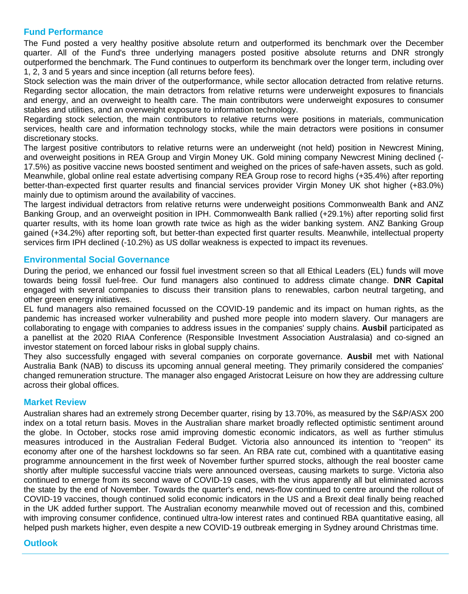#### **Fund Performance**

The Fund posted a very healthy positive absolute return and outperformed its benchmark over the December quarter. All of the Fund's three underlying managers posted positive absolute returns and DNR strongly outperformed the benchmark. The Fund continues to outperform its benchmark over the longer term, including over 1, 2, 3 and 5 years and since inception (all returns before fees).

Stock selection was the main driver of the outperformance, while sector allocation detracted from relative returns. Regarding sector allocation, the main detractors from relative returns were underweight exposures to financials and energy, and an overweight to health care. The main contributors were underweight exposures to consumer stables and utilities, and an overweight exposure to information technology.

Regarding stock selection, the main contributors to relative returns were positions in materials, communication services, health care and information technology stocks, while the main detractors were positions in consumer discretionary stocks.

The largest positive contributors to relative returns were an underweight (not held) position in Newcrest Mining, and overweight positions in REA Group and Virgin Money UK. Gold mining company Newcrest Mining declined (- 17.5%) as positive vaccine news boosted sentiment and weighed on the prices of safe-haven assets, such as gold. Meanwhile, global online real estate advertising company REA Group rose to record highs (+35.4%) after reporting better-than-expected first quarter results and financial services provider Virgin Money UK shot higher (+83.0%) mainly due to optimism around the availability of vaccines.

The largest individual detractors from relative returns were underweight positions Commonwealth Bank and ANZ Banking Group, and an overweight position in IPH. Commonwealth Bank rallied (+29.1%) after reporting solid first quarter results, with its home loan growth rate twice as high as the wider banking system. ANZ Banking Group gained (+34.2%) after reporting soft, but better-than expected first quarter results. Meanwhile, intellectual property services firm IPH declined (-10.2%) as US dollar weakness is expected to impact its revenues.

#### **Environmental Social Governance**

During the period, we enhanced our fossil fuel investment screen so that all Ethical Leaders (EL) funds will move towards being fossil fuel-free. Our fund managers also continued to address climate change. **DNR Capital** engaged with several companies to discuss their transition plans to renewables, carbon neutral targeting, and other green energy initiatives.

EL fund managers also remained focussed on the COVID-19 pandemic and its impact on human rights, as the pandemic has increased worker vulnerability and pushed more people into modern slavery. Our managers are collaborating to engage with companies to address issues in the companies' supply chains. **Ausbil** participated as a panellist at the 2020 RIAA Conference (Responsible Investment Association Australasia) and co-signed an investor statement on forced labour risks in global supply chains.

They also successfully engaged with several companies on corporate governance. **Ausbil** met with National Australia Bank (NAB) to discuss its upcoming annual general meeting. They primarily considered the companies' changed remuneration structure. The manager also engaged Aristocrat Leisure on how they are addressing culture across their global offices.

#### **Market Review**

Australian shares had an extremely strong December quarter, rising by 13.70%, as measured by the S&P/ASX 200 index on a total return basis. Moves in the Australian share market broadly reflected optimistic sentiment around the globe. In October, stocks rose amid improving domestic economic indicators, as well as further stimulus measures introduced in the Australian Federal Budget. Victoria also announced its intention to "reopen" its economy after one of the harshest lockdowns so far seen. An RBA rate cut, combined with a quantitative easing programme announcement in the first week of November further spurred stocks, although the real booster came shortly after multiple successful vaccine trials were announced overseas, causing markets to surge. Victoria also continued to emerge from its second wave of COVID-19 cases, with the virus apparently all but eliminated across the state by the end of November. Towards the quarter's end, news-flow continued to centre around the rollout of COVID-19 vaccines, though continued solid economic indicators in the US and a Brexit deal finally being reached in the UK added further support. The Australian economy meanwhile moved out of recession and this, combined with improving consumer confidence, continued ultra-low interest rates and continued RBA quantitative easing, all helped push markets higher, even despite a new COVID-19 outbreak emerging in Sydney around Christmas time.

 $\mathcal{A}$ ustralian shares will likely influenced by global markets and events. Like its international markets and events. Like its international markets and events. Like its international markets and events. Like its inter

### **Outlook**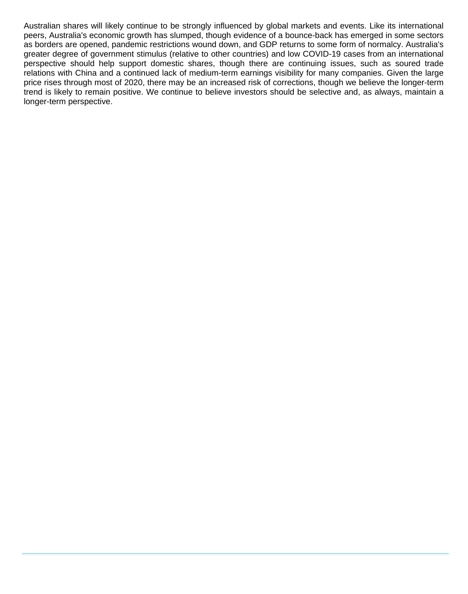Australian shares will likely continue to be strongly influenced by global markets and events. Like its international peers, Australia's economic growth has slumped, though evidence of a bounce-back has emerged in some sectors as borders are opened, pandemic restrictions wound down, and GDP returns to some form of normalcy. Australia's greater degree of government stimulus (relative to other countries) and low COVID-19 cases from an international perspective should help support domestic shares, though there are continuing issues, such as soured trade relations with China and a continued lack of medium-term earnings visibility for many companies. Given the large price rises through most of 2020, there may be an increased risk of corrections, though we believe the longer-term trend is likely to remain positive. We continue to believe investors should be selective and, as always, maintain a longer-term perspective.